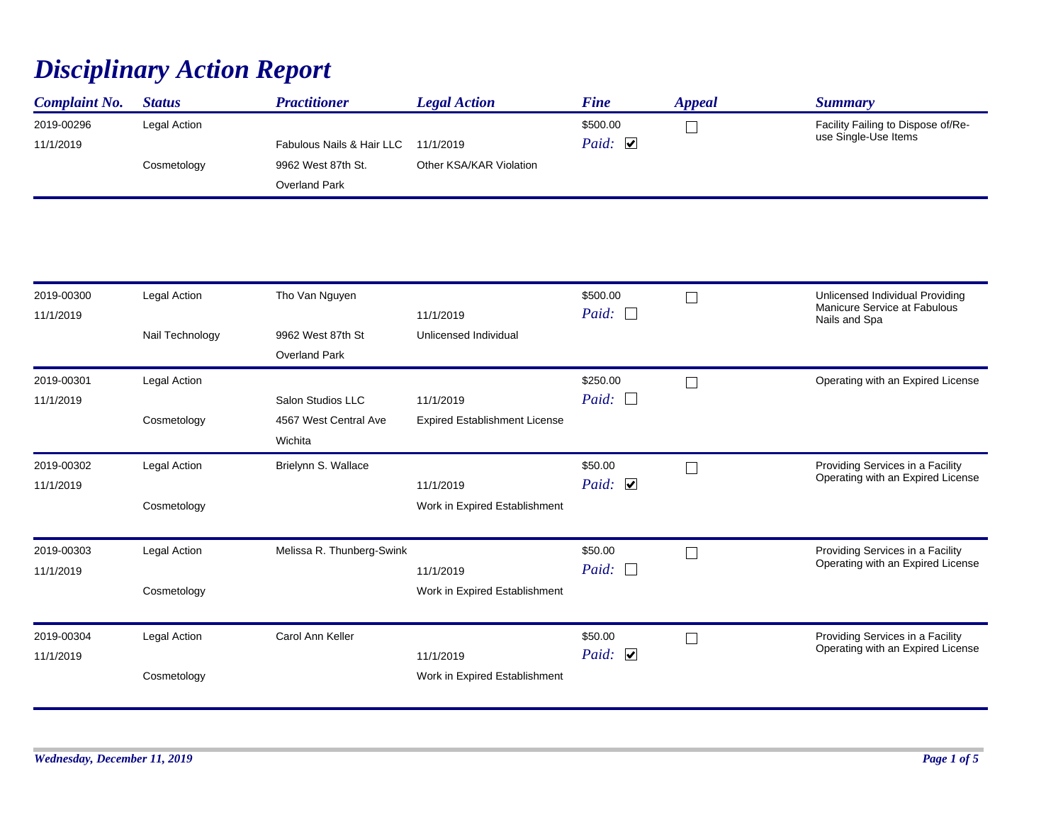## *Disciplinary Action Report*

| <b>Complaint No.</b> | <b>Status</b> | <b>Practitioner</b>       | <b>Legal Action</b>     | <b>Fine</b>  | Appeal | Summary                            |
|----------------------|---------------|---------------------------|-------------------------|--------------|--------|------------------------------------|
| 2019-00296           | Legal Action  |                           |                         | \$500.00     |        | Facility Failing to Dispose of/Re- |
| 11/1/2019            |               | Fabulous Nails & Hair LLC | 11/1/2019               | Paid: $\Box$ |        | use Single-Use Items               |
|                      | Cosmetology   | 9962 West 87th St.        | Other KSA/KAR Violation |              |        |                                    |
|                      |               | <b>Overland Park</b>      |                         |              |        |                                    |

| 2019-00300<br>11/1/2019 | Legal Action    | Tho Van Nguyen            | 11/1/2019                            | \$500.00<br>Paid: $\Box$ | Unlicensed Individual Providing<br>Manicure Service at Fabulous<br>Nails and Spa |
|-------------------------|-----------------|---------------------------|--------------------------------------|--------------------------|----------------------------------------------------------------------------------|
|                         | Nail Technology | 9962 West 87th St         | Unlicensed Individual                |                          |                                                                                  |
|                         |                 | <b>Overland Park</b>      |                                      |                          |                                                                                  |
| 2019-00301              | Legal Action    |                           |                                      | \$250.00                 | Operating with an Expired License                                                |
| 11/1/2019               |                 | Salon Studios LLC         | 11/1/2019                            | Paid: $\Box$             |                                                                                  |
|                         | Cosmetology     | 4567 West Central Ave     | <b>Expired Establishment License</b> |                          |                                                                                  |
|                         |                 | Wichita                   |                                      |                          |                                                                                  |
| 2019-00302              | Legal Action    | Brielynn S. Wallace       |                                      | \$50.00                  | Providing Services in a Facility                                                 |
| 11/1/2019               |                 |                           | 11/1/2019                            | Paid: $\Box$             | Operating with an Expired License                                                |
|                         | Cosmetology     |                           | Work in Expired Establishment        |                          |                                                                                  |
| 2019-00303              | Legal Action    | Melissa R. Thunberg-Swink |                                      | \$50.00                  | Providing Services in a Facility                                                 |
| 11/1/2019               |                 |                           | 11/1/2019                            | Paid: $\Box$             | Operating with an Expired License                                                |
|                         | Cosmetology     |                           | Work in Expired Establishment        |                          |                                                                                  |
| 2019-00304              | Legal Action    | Carol Ann Keller          |                                      | \$50.00                  | Providing Services in a Facility                                                 |
| 11/1/2019               |                 |                           | 11/1/2019                            | Paid: $\Box$             | Operating with an Expired License                                                |
|                         | Cosmetology     |                           | Work in Expired Establishment        |                          |                                                                                  |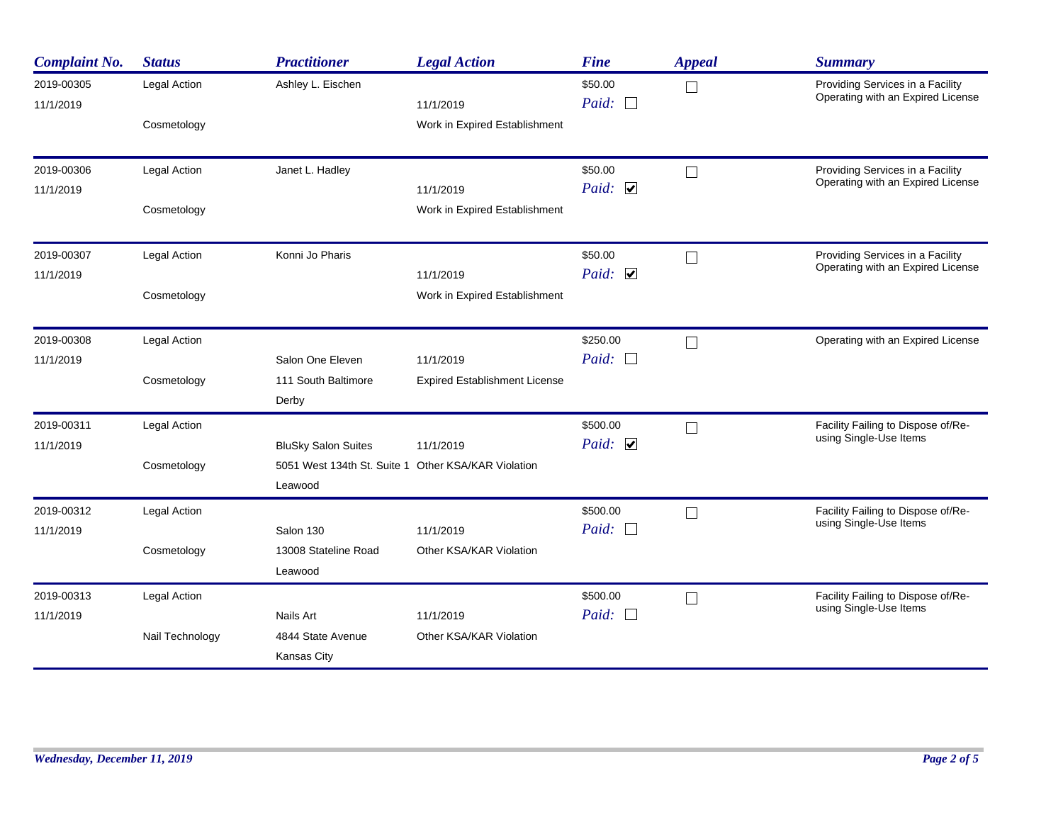| <b>Complaint No.</b>    | <b>Status</b>       | <b>Practitioner</b>                                            | <b>Legal Action</b>                  | <b>Fine</b>                      | <b>Appeal</b> | <b>Summary</b>                                                        |
|-------------------------|---------------------|----------------------------------------------------------------|--------------------------------------|----------------------------------|---------------|-----------------------------------------------------------------------|
| 2019-00305<br>11/1/2019 | Legal Action        | Ashley L. Eischen                                              | 11/1/2019                            | \$50.00<br>Paid:<br>$\mathbf{L}$ | $\Box$        | Providing Services in a Facility<br>Operating with an Expired License |
|                         | Cosmetology         |                                                                | Work in Expired Establishment        |                                  |               |                                                                       |
| 2019-00306              | Legal Action        | Janet L. Hadley                                                |                                      | \$50.00                          | $\Box$        | Providing Services in a Facility<br>Operating with an Expired License |
| 11/1/2019               |                     |                                                                | 11/1/2019                            | Paid: $\Box$                     |               |                                                                       |
|                         | Cosmetology         |                                                                | Work in Expired Establishment        |                                  |               |                                                                       |
| 2019-00307              | Legal Action        | Konni Jo Pharis                                                |                                      | \$50.00                          | $\Box$        | Providing Services in a Facility<br>Operating with an Expired License |
| 11/1/2019               |                     |                                                                | 11/1/2019                            | Paid: $\Box$                     |               |                                                                       |
|                         | Cosmetology         |                                                                | Work in Expired Establishment        |                                  |               |                                                                       |
| 2019-00308              | Legal Action        |                                                                |                                      | \$250.00                         | П             | Operating with an Expired License                                     |
| 11/1/2019               |                     | Salon One Eleven                                               | 11/1/2019                            | Paid: $\Box$                     |               |                                                                       |
|                         | Cosmetology         | 111 South Baltimore                                            | <b>Expired Establishment License</b> |                                  |               |                                                                       |
|                         |                     | Derby                                                          |                                      |                                  |               |                                                                       |
| 2019-00311              | Legal Action        |                                                                |                                      | \$500.00                         | П             | Facility Failing to Dispose of/Re-<br>using Single-Use Items          |
| 11/1/2019               |                     | <b>BluSky Salon Suites</b>                                     | 11/1/2019                            | Paid: $\Box$                     |               |                                                                       |
|                         | Cosmetology         | 5051 West 134th St. Suite 1 Other KSA/KAR Violation<br>Leawood |                                      |                                  |               |                                                                       |
| 2019-00312              | Legal Action        |                                                                |                                      | \$500.00                         | $\Box$        | Facility Failing to Dispose of/Re-                                    |
| 11/1/2019               |                     | Salon 130                                                      | 11/1/2019                            | Paid:<br>$\Box$                  |               | using Single-Use Items                                                |
|                         | Cosmetology         | 13008 Stateline Road                                           | Other KSA/KAR Violation              |                                  |               |                                                                       |
|                         |                     | Leawood                                                        |                                      |                                  |               |                                                                       |
| 2019-00313              | <b>Legal Action</b> |                                                                |                                      | \$500.00                         | $\Box$        | Facility Failing to Dispose of/Re-                                    |
| 11/1/2019               | Nails Art           |                                                                | 11/1/2019                            | Paid: $\Box$                     |               | using Single-Use Items                                                |
|                         | Nail Technology     | 4844 State Avenue<br><b>Kansas City</b>                        | Other KSA/KAR Violation              |                                  |               |                                                                       |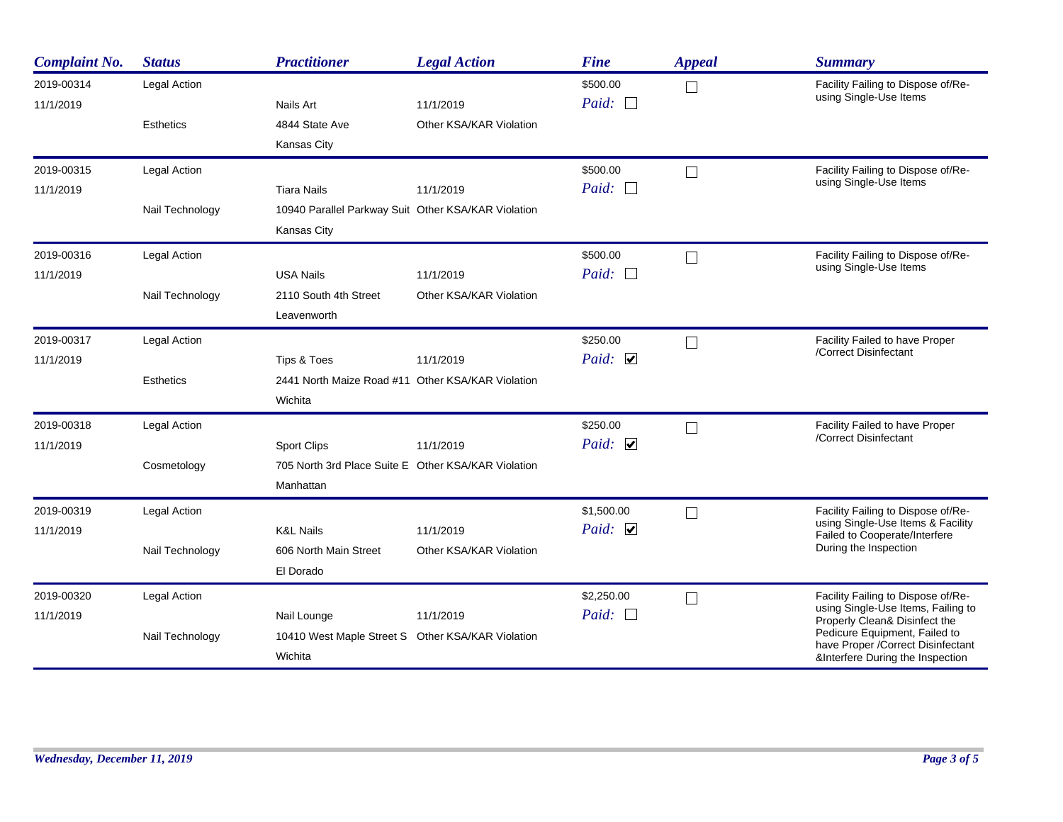| <b>Complaint No.</b>    | <b>Status</b>    | <b>Practitioner</b>                                 | <b>Legal Action</b>     | <b>Fine</b>       | <b>Appeal</b> | <b>Summary</b>                                                      |
|-------------------------|------------------|-----------------------------------------------------|-------------------------|-------------------|---------------|---------------------------------------------------------------------|
| 2019-00314<br>11/1/2019 | Legal Action     | Nails Art                                           | 11/1/2019               | \$500.00<br>Paid: | $\Box$        | Facility Failing to Dispose of/Re-<br>using Single-Use Items        |
|                         | <b>Esthetics</b> | 4844 State Ave                                      | Other KSA/KAR Violation |                   |               |                                                                     |
|                         |                  | Kansas City                                         |                         |                   |               |                                                                     |
| 2019-00315              | Legal Action     |                                                     |                         | \$500.00          | $\Box$        | Facility Failing to Dispose of/Re-                                  |
| 11/1/2019               |                  | <b>Tiara Nails</b>                                  | 11/1/2019               | Paid: $\Box$      |               | using Single-Use Items                                              |
|                         | Nail Technology  | 10940 Parallel Parkway Suit Other KSA/KAR Violation |                         |                   |               |                                                                     |
|                         |                  | Kansas City                                         |                         |                   |               |                                                                     |
| 2019-00316              | Legal Action     |                                                     |                         | \$500.00          | $\Box$        | Facility Failing to Dispose of/Re-                                  |
| 11/1/2019               |                  | <b>USA Nails</b>                                    | 11/1/2019               | Paid:             |               | using Single-Use Items                                              |
|                         | Nail Technology  | 2110 South 4th Street                               | Other KSA/KAR Violation |                   |               |                                                                     |
|                         |                  | Leavenworth                                         |                         |                   |               |                                                                     |
| 2019-00317              | Legal Action     |                                                     |                         | \$250.00          | $\Box$        | Facility Failed to have Proper                                      |
| 11/1/2019               |                  | Tips & Toes                                         | 11/1/2019               | Paid: $\Box$      |               | /Correct Disinfectant                                               |
|                         | <b>Esthetics</b> | 2441 North Maize Road #11 Other KSA/KAR Violation   |                         |                   |               |                                                                     |
|                         |                  | Wichita                                             |                         |                   |               |                                                                     |
| 2019-00318              | Legal Action     |                                                     |                         | \$250.00          | $\Box$        | Facility Failed to have Proper                                      |
| 11/1/2019               |                  | <b>Sport Clips</b>                                  | 11/1/2019               | Paid: $\Box$      |               | /Correct Disinfectant                                               |
|                         | Cosmetology      | 705 North 3rd Place Suite E Other KSA/KAR Violation |                         |                   |               |                                                                     |
|                         |                  | Manhattan                                           |                         |                   |               |                                                                     |
| 2019-00319              | Legal Action     |                                                     |                         | \$1,500.00        | $\Box$        | Facility Failing to Dispose of/Re-                                  |
| 11/1/2019               |                  | <b>K&amp;L Nails</b>                                | 11/1/2019               | Paid: $\Box$      |               | using Single-Use Items & Facility<br>Failed to Cooperate/Interfere  |
|                         | Nail Technology  | 606 North Main Street                               | Other KSA/KAR Violation |                   |               | During the Inspection                                               |
|                         |                  | El Dorado                                           |                         |                   |               |                                                                     |
| 2019-00320              | Legal Action     |                                                     |                         | \$2,250.00        | $\Box$        | Facility Failing to Dispose of/Re-                                  |
| 11/1/2019               |                  | Nail Lounge                                         | 11/1/2019               | Paid:             |               | using Single-Use Items, Failing to<br>Properly Clean& Disinfect the |
|                         | Nail Technology  | 10410 West Maple Street S Other KSA/KAR Violation   |                         |                   |               | Pedicure Equipment, Failed to<br>have Proper / Correct Disinfectant |
|                         |                  | Wichita                                             |                         |                   |               | &Interfere During the Inspection                                    |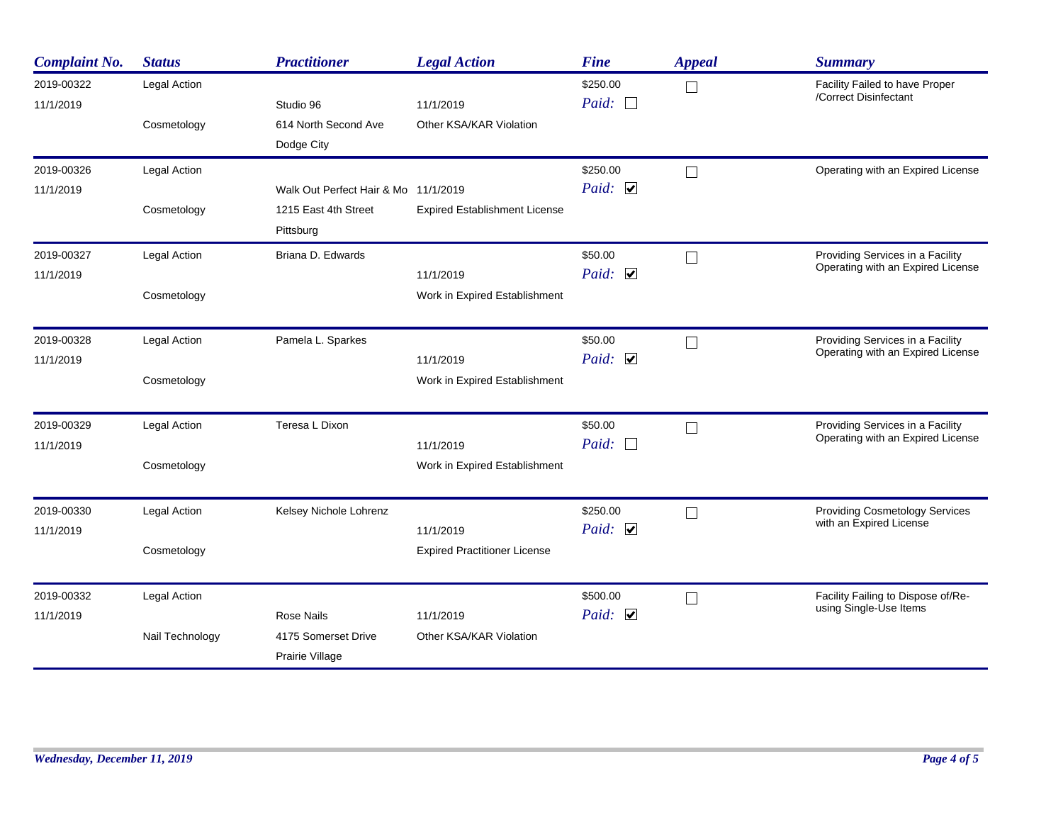| <b>Complaint No.</b>    | <b>Status</b>             | <b>Practitioner</b>                    | <b>Legal Action</b>                  | <b>Fine</b>              | <b>Appeal</b>               | <b>Summary</b>                                                        |
|-------------------------|---------------------------|----------------------------------------|--------------------------------------|--------------------------|-----------------------------|-----------------------------------------------------------------------|
| 2019-00322<br>11/1/2019 | Legal Action              | Studio 96                              | 11/1/2019                            | \$250.00<br>Paid: $\Box$ | $\Box$                      | Facility Failed to have Proper<br>/Correct Disinfectant               |
|                         | Cosmetology               | 614 North Second Ave<br>Dodge City     | Other KSA/KAR Violation              |                          |                             |                                                                       |
| 2019-00326              | Legal Action              |                                        |                                      | \$250.00                 | $\overline{\phantom{a}}$    | Operating with an Expired License                                     |
| 11/1/2019               |                           | Walk Out Perfect Hair & Mo 11/1/2019   |                                      | Paid: $\Box$             |                             |                                                                       |
|                         | Cosmetology               | 1215 East 4th Street<br>Pittsburg      | <b>Expired Establishment License</b> |                          |                             |                                                                       |
| 2019-00327              | Legal Action              | Briana D. Edwards                      |                                      | \$50.00                  | $\Box$                      | Providing Services in a Facility<br>Operating with an Expired License |
| 11/1/2019               | Paid: $\Box$<br>11/1/2019 |                                        |                                      |                          |                             |                                                                       |
|                         | Cosmetology               |                                        | Work in Expired Establishment        |                          |                             |                                                                       |
| 2019-00328              | Legal Action              | Pamela L. Sparkes                      |                                      | \$50.00                  | - 1                         | Providing Services in a Facility                                      |
| 11/1/2019               |                           |                                        | 11/1/2019                            | Paid: $\Box$             |                             | Operating with an Expired License                                     |
|                         | Cosmetology               |                                        | Work in Expired Establishment        |                          |                             |                                                                       |
| 2019-00329              | Legal Action              | Teresa L Dixon                         |                                      | \$50.00                  | $\overline{\phantom{a}}$    | Providing Services in a Facility                                      |
| 11/1/2019               |                           |                                        | 11/1/2019                            | Paid:<br>$\Box$          |                             | Operating with an Expired License                                     |
|                         | Cosmetology               |                                        | Work in Expired Establishment        |                          |                             |                                                                       |
| 2019-00330              | Legal Action              | Kelsey Nichole Lohrenz                 |                                      | \$250.00                 | $\Box$                      | <b>Providing Cosmetology Services</b>                                 |
| 11/1/2019               |                           |                                        | 11/1/2019                            | Paid: $\Box$             |                             | with an Expired License                                               |
|                         | Cosmetology               |                                        | <b>Expired Practitioner License</b>  |                          |                             |                                                                       |
| 2019-00332              | Legal Action              |                                        |                                      | \$500.00                 | $\mathcal{L}_{\mathcal{A}}$ | Facility Failing to Dispose of/Re-<br>using Single-Use Items          |
| 11/1/2019               |                           | <b>Rose Nails</b>                      | 11/1/2019                            | Paid: $\Box$             |                             |                                                                       |
|                         | Nail Technology           | 4175 Somerset Drive<br>Prairie Village | Other KSA/KAR Violation              |                          |                             |                                                                       |